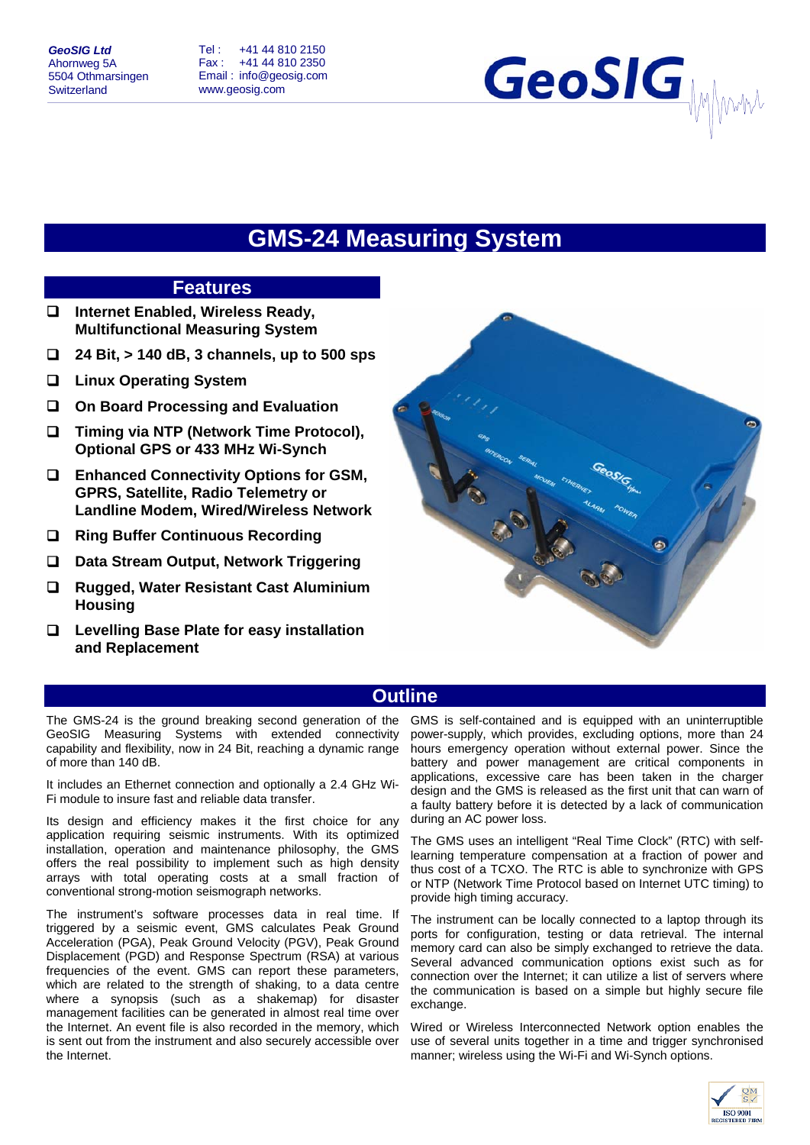Tel : +41 44 810 2150 Fax : +41 44 810 2350 Email : info@geosig.com www.geosig.com

# GeoSIG

# **GMS-24 Measuring System**

# **Features**

- **Internet Enabled, Wireless Ready, Multifunctional Measuring System**
- **24 Bit, > 140 dB, 3 channels, up to 500 sps**
- **Linux Operating System**
- **On Board Processing and Evaluation**
- **Timing via NTP (Network Time Protocol), Optional GPS or 433 MHz Wi-Synch**
- **Enhanced Connectivity Options for GSM, GPRS, Satellite, Radio Telemetry or Landline Modem, Wired/Wireless Network**
- **Ring Buffer Continuous Recording**
- **Data Stream Output, Network Triggering**
- **Rugged, Water Resistant Cast Aluminium Housing**
- **Levelling Base Plate for easy installation and Replacement**



# **Outline**

The GMS-24 is the ground breaking second generation of the GeoSIG Measuring Systems with extended connectivity capability and flexibility, now in 24 Bit, reaching a dynamic range of more than 140 dB.

It includes an Ethernet connection and optionally a 2.4 GHz Wi-Fi module to insure fast and reliable data transfer.

Its design and efficiency makes it the first choice for any application requiring seismic instruments. With its optimized installation, operation and maintenance philosophy, the GMS offers the real possibility to implement such as high density arrays with total operating costs at a small fraction of conventional strong-motion seismograph networks.

The instrument's software processes data in real time. If triggered by a seismic event, GMS calculates Peak Ground Acceleration (PGA), Peak Ground Velocity (PGV), Peak Ground Displacement (PGD) and Response Spectrum (RSA) at various frequencies of the event. GMS can report these parameters, which are related to the strength of shaking, to a data centre where a synopsis (such as a shakemap) for disaster management facilities can be generated in almost real time over the Internet. An event file is also recorded in the memory, which is sent out from the instrument and also securely accessible over the Internet.

GMS is self-contained and is equipped with an uninterruptible power-supply, which provides, excluding options, more than 24 hours emergency operation without external power. Since the battery and power management are critical components in applications, excessive care has been taken in the charger design and the GMS is released as the first unit that can warn of a faulty battery before it is detected by a lack of communication during an AC power loss.

The GMS uses an intelligent "Real Time Clock" (RTC) with selflearning temperature compensation at a fraction of power and thus cost of a TCXO. The RTC is able to synchronize with GPS or NTP (Network Time Protocol based on Internet UTC timing) to provide high timing accuracy.

The instrument can be locally connected to a laptop through its ports for configuration, testing or data retrieval. The internal memory card can also be simply exchanged to retrieve the data. Several advanced communication options exist such as for connection over the Internet; it can utilize a list of servers where the communication is based on a simple but highly secure file exchange.

Wired or Wireless Interconnected Network option enables the use of several units together in a time and trigger synchronised manner; wireless using the Wi-Fi and Wi-Synch options.